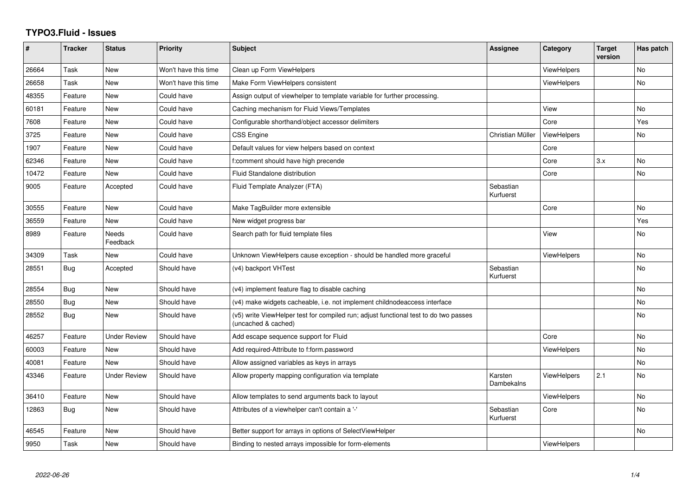## **TYPO3.Fluid - Issues**

| #     | <b>Tracker</b> | <b>Status</b>       | <b>Priority</b>      | <b>Subject</b>                                                                                              | Assignee               | Category           | <b>Target</b><br>version | Has patch |
|-------|----------------|---------------------|----------------------|-------------------------------------------------------------------------------------------------------------|------------------------|--------------------|--------------------------|-----------|
| 26664 | Task           | <b>New</b>          | Won't have this time | Clean up Form ViewHelpers                                                                                   |                        | ViewHelpers        |                          | <b>No</b> |
| 26658 | Task           | New                 | Won't have this time | Make Form ViewHelpers consistent                                                                            |                        | <b>ViewHelpers</b> |                          | No        |
| 48355 | Feature        | <b>New</b>          | Could have           | Assign output of viewhelper to template variable for further processing.                                    |                        |                    |                          |           |
| 60181 | Feature        | New                 | Could have           | Caching mechanism for Fluid Views/Templates                                                                 |                        | View               |                          | No        |
| 7608  | Feature        | New                 | Could have           | Configurable shorthand/object accessor delimiters                                                           |                        | Core               |                          | Yes       |
| 3725  | Feature        | <b>New</b>          | Could have           | <b>CSS Engine</b>                                                                                           | Christian Müller       | <b>ViewHelpers</b> |                          | No        |
| 1907  | Feature        | New                 | Could have           | Default values for view helpers based on context                                                            |                        | Core               |                          |           |
| 62346 | Feature        | New                 | Could have           | f:comment should have high precende                                                                         |                        | Core               | 3.x                      | No        |
| 10472 | Feature        | New                 | Could have           | <b>Fluid Standalone distribution</b>                                                                        |                        | Core               |                          | <b>No</b> |
| 9005  | Feature        | Accepted            | Could have           | Fluid Template Analyzer (FTA)                                                                               | Sebastian<br>Kurfuerst |                    |                          |           |
| 30555 | Feature        | New                 | Could have           | Make TagBuilder more extensible                                                                             |                        | Core               |                          | No        |
| 36559 | Feature        | <b>New</b>          | Could have           | New widget progress bar                                                                                     |                        |                    |                          | Yes       |
| 8989  | Feature        | Needs<br>Feedback   | Could have           | Search path for fluid template files                                                                        |                        | View               |                          | <b>No</b> |
| 34309 | Task           | <b>New</b>          | Could have           | Unknown ViewHelpers cause exception - should be handled more graceful                                       |                        | <b>ViewHelpers</b> |                          | <b>No</b> |
| 28551 | Bug            | Accepted            | Should have          | (v4) backport VHTest                                                                                        | Sebastian<br>Kurfuerst |                    |                          | <b>No</b> |
| 28554 | Bug            | New                 | Should have          | (v4) implement feature flag to disable caching                                                              |                        |                    |                          | <b>No</b> |
| 28550 | Bug            | New                 | Should have          | (v4) make widgets cacheable, i.e. not implement childnodeaccess interface                                   |                        |                    |                          | <b>No</b> |
| 28552 | Bug            | New                 | Should have          | (v5) write ViewHelper test for compiled run; adjust functional test to do two passes<br>(uncached & cached) |                        |                    |                          | No        |
| 46257 | Feature        | <b>Under Review</b> | Should have          | Add escape sequence support for Fluid                                                                       |                        | Core               |                          | <b>No</b> |
| 60003 | Feature        | New                 | Should have          | Add required-Attribute to f:form.password                                                                   |                        | <b>ViewHelpers</b> |                          | No        |
| 40081 | Feature        | New                 | Should have          | Allow assigned variables as keys in arrays                                                                  |                        |                    |                          | <b>No</b> |
| 43346 | Feature        | <b>Under Review</b> | Should have          | Allow property mapping configuration via template                                                           | Karsten<br>Dambekalns  | <b>ViewHelpers</b> | 2.1                      | <b>No</b> |
| 36410 | Feature        | New                 | Should have          | Allow templates to send arguments back to layout                                                            |                        | ViewHelpers        |                          | <b>No</b> |
| 12863 | Bug            | New                 | Should have          | Attributes of a viewhelper can't contain a '-'                                                              | Sebastian<br>Kurfuerst | Core               |                          | No        |
| 46545 | Feature        | New                 | Should have          | Better support for arrays in options of SelectViewHelper                                                    |                        |                    |                          | No        |
| 9950  | Task           | New                 | Should have          | Binding to nested arrays impossible for form-elements                                                       |                        | <b>ViewHelpers</b> |                          |           |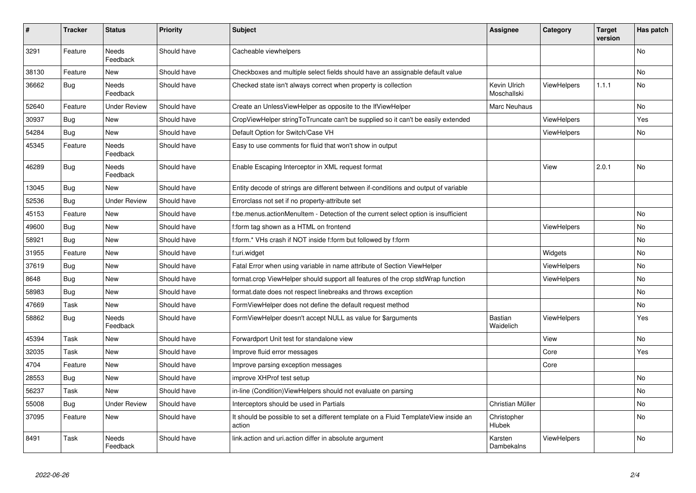| #     | <b>Tracker</b> | <b>Status</b>            | <b>Priority</b> | <b>Subject</b>                                                                                | Assignee                    | Category           | <b>Target</b><br>version | Has patch |
|-------|----------------|--------------------------|-----------------|-----------------------------------------------------------------------------------------------|-----------------------------|--------------------|--------------------------|-----------|
| 3291  | Feature        | Needs<br>Feedback        | Should have     | Cacheable viewhelpers                                                                         |                             |                    |                          | No        |
| 38130 | Feature        | <b>New</b>               | Should have     | Checkboxes and multiple select fields should have an assignable default value                 |                             |                    |                          | <b>No</b> |
| 36662 | Bug            | Needs<br>Feedback        | Should have     | Checked state isn't always correct when property is collection                                | Kevin Ulrich<br>Moschallski | <b>ViewHelpers</b> | 1.1.1                    | No        |
| 52640 | Feature        | <b>Under Review</b>      | Should have     | Create an UnlessViewHelper as opposite to the IfViewHelper                                    | Marc Neuhaus                |                    |                          | <b>No</b> |
| 30937 | <b>Bug</b>     | New                      | Should have     | CropViewHelper stringToTruncate can't be supplied so it can't be easily extended              |                             | <b>ViewHelpers</b> |                          | Yes       |
| 54284 | Bug            | New                      | Should have     | Default Option for Switch/Case VH                                                             |                             | <b>ViewHelpers</b> |                          | No        |
| 45345 | Feature        | <b>Needs</b><br>Feedback | Should have     | Easy to use comments for fluid that won't show in output                                      |                             |                    |                          |           |
| 46289 | Bug            | Needs<br>Feedback        | Should have     | Enable Escaping Interceptor in XML request format                                             |                             | View               | 2.0.1                    | No        |
| 13045 | Bug            | New                      | Should have     | Entity decode of strings are different between if-conditions and output of variable           |                             |                    |                          |           |
| 52536 | Bug            | <b>Under Review</b>      | Should have     | Errorclass not set if no property-attribute set                                               |                             |                    |                          |           |
| 45153 | Feature        | New                      | Should have     | f:be.menus.actionMenuItem - Detection of the current select option is insufficient            |                             |                    |                          | No        |
| 49600 | Bug            | New                      | Should have     | f:form tag shown as a HTML on frontend                                                        |                             | <b>ViewHelpers</b> |                          | No        |
| 58921 | Bug            | New                      | Should have     | f:form.* VHs crash if NOT inside f:form but followed by f:form                                |                             |                    |                          | No        |
| 31955 | Feature        | New                      | Should have     | f:uri.widget                                                                                  |                             | Widgets            |                          | No        |
| 37619 | Bug            | New                      | Should have     | Fatal Error when using variable in name attribute of Section ViewHelper                       |                             | <b>ViewHelpers</b> |                          | No        |
| 8648  | Bug            | New                      | Should have     | format.crop ViewHelper should support all features of the crop stdWrap function               |                             | <b>ViewHelpers</b> |                          | <b>No</b> |
| 58983 | Bug            | New                      | Should have     | format.date does not respect linebreaks and throws exception                                  |                             |                    |                          | No        |
| 47669 | Task           | New                      | Should have     | FormViewHelper does not define the default request method                                     |                             |                    |                          | No        |
| 58862 | Bug            | Needs<br>Feedback        | Should have     | FormViewHelper doesn't accept NULL as value for \$arguments                                   | <b>Bastian</b><br>Waidelich | <b>ViewHelpers</b> |                          | Yes       |
| 45394 | Task           | New                      | Should have     | Forwardport Unit test for standalone view                                                     |                             | View               |                          | No        |
| 32035 | Task           | New                      | Should have     | Improve fluid error messages                                                                  |                             | Core               |                          | Yes       |
| 4704  | Feature        | New                      | Should have     | Improve parsing exception messages                                                            |                             | Core               |                          |           |
| 28553 | <b>Bug</b>     | New                      | Should have     | improve XHProf test setup                                                                     |                             |                    |                          | No        |
| 56237 | Task           | New                      | Should have     | in-line (Condition)ViewHelpers should not evaluate on parsing                                 |                             |                    |                          | No        |
| 55008 | Bug            | Under Review             | Should have     | Interceptors should be used in Partials                                                       | Christian Müller            |                    |                          | No        |
| 37095 | Feature        | New                      | Should have     | It should be possible to set a different template on a Fluid TemplateView inside an<br>action | Christopher<br>Hlubek       |                    |                          | No        |
| 8491  | Task           | Needs<br>Feedback        | Should have     | link.action and uri.action differ in absolute argument                                        | Karsten<br>Dambekalns       | ViewHelpers        |                          | No        |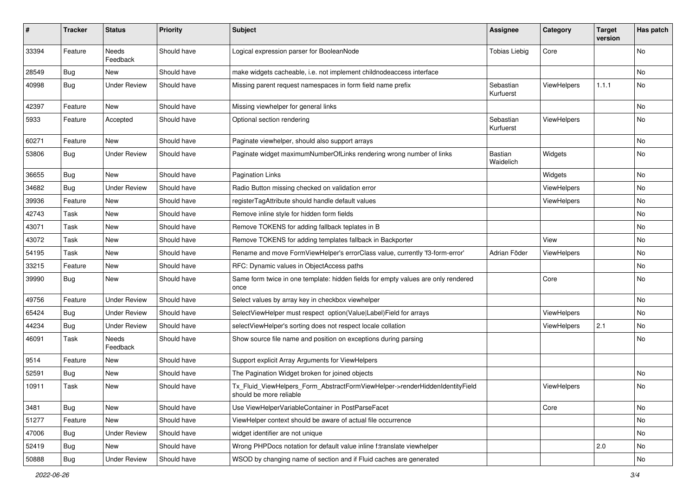| #     | <b>Tracker</b> | <b>Status</b>            | <b>Priority</b> | <b>Subject</b>                                                                                         | <b>Assignee</b>        | Category           | <b>Target</b><br>version | Has patch |
|-------|----------------|--------------------------|-----------------|--------------------------------------------------------------------------------------------------------|------------------------|--------------------|--------------------------|-----------|
| 33394 | Feature        | <b>Needs</b><br>Feedback | Should have     | Logical expression parser for BooleanNode                                                              | <b>Tobias Liebig</b>   | Core               |                          | <b>No</b> |
| 28549 | <b>Bug</b>     | New                      | Should have     | make widgets cacheable, i.e. not implement childnodeaccess interface                                   |                        |                    |                          | No        |
| 40998 | Bug            | <b>Under Review</b>      | Should have     | Missing parent request namespaces in form field name prefix                                            | Sebastian<br>Kurfuerst | ViewHelpers        | 1.1.1                    | No        |
| 42397 | Feature        | <b>New</b>               | Should have     | Missing viewhelper for general links                                                                   |                        |                    |                          | No        |
| 5933  | Feature        | Accepted                 | Should have     | Optional section rendering                                                                             | Sebastian<br>Kurfuerst | ViewHelpers        |                          | No        |
| 60271 | Feature        | New                      | Should have     | Paginate viewhelper, should also support arrays                                                        |                        |                    |                          | No        |
| 53806 | Bug            | <b>Under Review</b>      | Should have     | Paginate widget maximumNumberOfLinks rendering wrong number of links                                   | Bastian<br>Waidelich   | Widgets            |                          | No        |
| 36655 | Bug            | New                      | Should have     | <b>Pagination Links</b>                                                                                |                        | Widgets            |                          | No        |
| 34682 | Bug            | <b>Under Review</b>      | Should have     | Radio Button missing checked on validation error                                                       |                        | <b>ViewHelpers</b> |                          | No        |
| 39936 | Feature        | New                      | Should have     | registerTagAttribute should handle default values                                                      |                        | ViewHelpers        |                          | No        |
| 42743 | Task           | New                      | Should have     | Remove inline style for hidden form fields                                                             |                        |                    |                          | No        |
| 43071 | Task           | New                      | Should have     | Remove TOKENS for adding fallback teplates in B                                                        |                        |                    |                          | No        |
| 43072 | Task           | New                      | Should have     | Remove TOKENS for adding templates fallback in Backporter                                              |                        | View               |                          | No        |
| 54195 | Task           | New                      | Should have     | Rename and move FormViewHelper's errorClass value, currently 'f3-form-error'                           | Adrian Föder           | ViewHelpers        |                          | No        |
| 33215 | Feature        | New                      | Should have     | RFC: Dynamic values in ObjectAccess paths                                                              |                        |                    |                          | No        |
| 39990 | Bug            | New                      | Should have     | Same form twice in one template: hidden fields for empty values are only rendered<br>once              |                        | Core               |                          | No        |
| 49756 | Feature        | <b>Under Review</b>      | Should have     | Select values by array key in checkbox viewhelper                                                      |                        |                    |                          | <b>No</b> |
| 65424 | Bug            | <b>Under Review</b>      | Should have     | SelectViewHelper must respect option(Value Label)Field for arrays                                      |                        | ViewHelpers        |                          | No        |
| 44234 | Bug            | <b>Under Review</b>      | Should have     | selectViewHelper's sorting does not respect locale collation                                           |                        | ViewHelpers        | 2.1                      | No        |
| 46091 | Task           | Needs<br>Feedback        | Should have     | Show source file name and position on exceptions during parsing                                        |                        |                    |                          | No        |
| 9514  | Feature        | New                      | Should have     | Support explicit Array Arguments for ViewHelpers                                                       |                        |                    |                          |           |
| 52591 | Bug            | New                      | Should have     | The Pagination Widget broken for joined objects                                                        |                        |                    |                          | No        |
| 10911 | Task           | New                      | Should have     | Tx_Fluid_ViewHelpers_Form_AbstractFormViewHelper->renderHiddenIdentityField<br>should be more reliable |                        | ViewHelpers        |                          | No        |
| 3481  | Bug            | New                      | Should have     | Use ViewHelperVariableContainer in PostParseFacet                                                      |                        | Core               |                          | No        |
| 51277 | Feature        | New                      | Should have     | ViewHelper context should be aware of actual file occurrence                                           |                        |                    |                          | No        |
| 47006 | Bug            | <b>Under Review</b>      | Should have     | widget identifier are not unique                                                                       |                        |                    |                          | No        |
| 52419 | <b>Bug</b>     | New                      | Should have     | Wrong PHPDocs notation for default value inline f:translate viewhelper                                 |                        |                    | 2.0                      | No        |
| 50888 | Bug            | <b>Under Review</b>      | Should have     | WSOD by changing name of section and if Fluid caches are generated                                     |                        |                    |                          | No        |